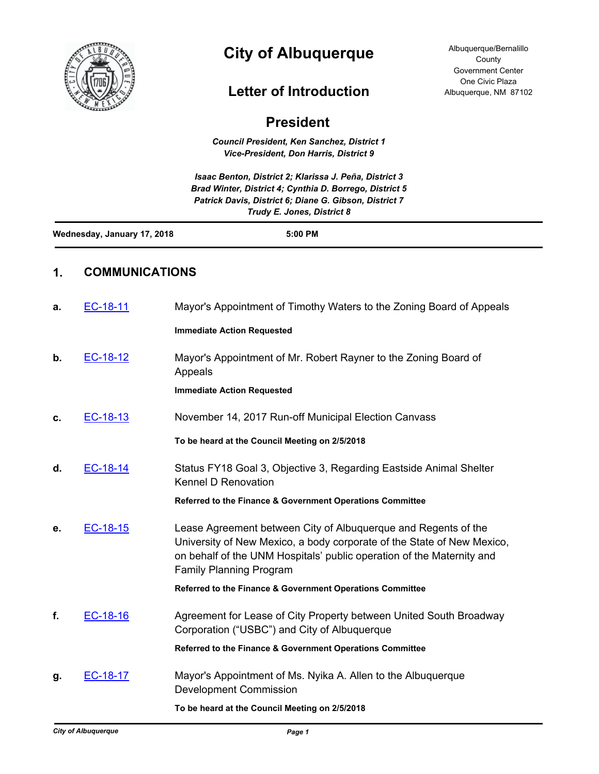

# **City of Albuquerque**

## **Letter of Introduction**

### **President**

*Council President, Ken Sanchez, District 1 Vice-President, Don Harris, District 9*

*Isaac Benton, District 2; Klarissa J. Peña, District 3 Brad Winter, District 4; Cynthia D. Borrego, District 5 Patrick Davis, District 6; Diane G. Gibson, District 7 Trudy E. Jones, District 8*

| Wednesday, January 17, 2018 | 5:00 PM |  |
|-----------------------------|---------|--|
|                             |         |  |

#### **1. COMMUNICATIONS**

| a. | EC-18-11 | Mayor's Appointment of Timothy Waters to the Zoning Board of Appeals                                                                                                                                                                                |
|----|----------|-----------------------------------------------------------------------------------------------------------------------------------------------------------------------------------------------------------------------------------------------------|
|    |          | <b>Immediate Action Requested</b>                                                                                                                                                                                                                   |
| b. | EC-18-12 | Mayor's Appointment of Mr. Robert Rayner to the Zoning Board of<br>Appeals                                                                                                                                                                          |
|    |          | <b>Immediate Action Requested</b>                                                                                                                                                                                                                   |
| c. | EC-18-13 | November 14, 2017 Run-off Municipal Election Canvass                                                                                                                                                                                                |
|    |          | To be heard at the Council Meeting on 2/5/2018                                                                                                                                                                                                      |
| d. | EC-18-14 | Status FY18 Goal 3, Objective 3, Regarding Eastside Animal Shelter<br><b>Kennel D Renovation</b>                                                                                                                                                    |
|    |          | Referred to the Finance & Government Operations Committee                                                                                                                                                                                           |
| е. | EC-18-15 | Lease Agreement between City of Albuquerque and Regents of the<br>University of New Mexico, a body corporate of the State of New Mexico,<br>on behalf of the UNM Hospitals' public operation of the Maternity and<br><b>Family Planning Program</b> |
|    |          | Referred to the Finance & Government Operations Committee                                                                                                                                                                                           |
| f. | EC-18-16 | Agreement for Lease of City Property between United South Broadway<br>Corporation ("USBC") and City of Albuquerque                                                                                                                                  |
|    |          | Referred to the Finance & Government Operations Committee                                                                                                                                                                                           |
| g. | EC-18-17 | Mayor's Appointment of Ms. Nyika A. Allen to the Albuquerque<br><b>Development Commission</b>                                                                                                                                                       |
|    |          | To be heard at the Council Meeting on 2/5/2018                                                                                                                                                                                                      |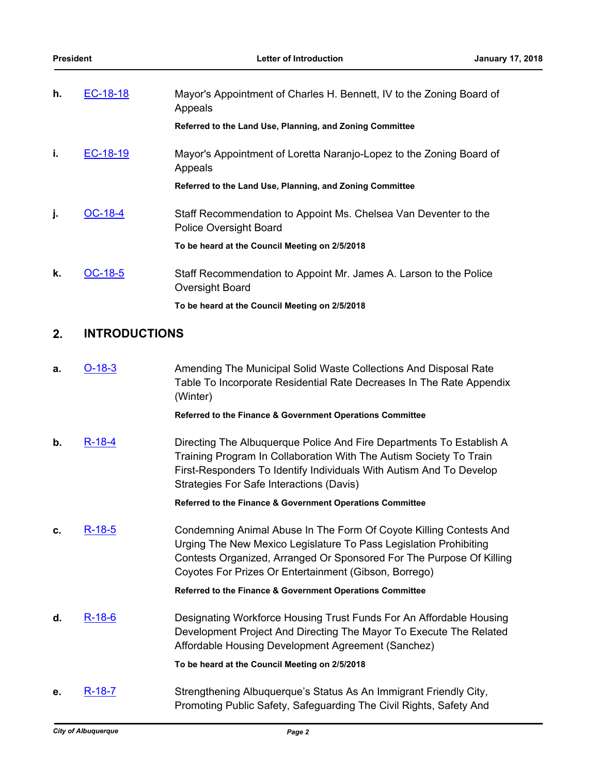| h. | EC-18-18  | Mayor's Appointment of Charles H. Bennett, IV to the Zoning Board of<br>Appeals                  |
|----|-----------|--------------------------------------------------------------------------------------------------|
|    |           | Referred to the Land Use, Planning, and Zoning Committee                                         |
| i. | EC-18-19  | Mayor's Appointment of Loretta Naranjo-Lopez to the Zoning Board of<br>Appeals                   |
|    |           | Referred to the Land Use, Planning, and Zoning Committee                                         |
| j. | $OC-18-4$ | Staff Recommendation to Appoint Ms. Chelsea Van Deventer to the<br><b>Police Oversight Board</b> |
|    |           | To be heard at the Council Meeting on 2/5/2018                                                   |
| k. | OC-18-5   | Staff Recommendation to Appoint Mr. James A. Larson to the Police<br>Oversight Board             |
|    |           | To be heard at the Council Meeting on 2/5/2018                                                   |

#### **2. INTRODUCTIONS**

**a.** [O-18-3](http://cabq.legistar.com/gateway.aspx?m=l&id=/matter.aspx?key=10912) Amending The Municipal Solid Waste Collections And Disposal Rate Table To Incorporate Residential Rate Decreases In The Rate Appendix (Winter)

#### **Referred to the Finance & Government Operations Committee**

**b.** [R-18-4](http://cabq.legistar.com/gateway.aspx?m=l&id=/matter.aspx?key=10901) Directing The Albuquerque Police And Fire Departments To Establish A Training Program In Collaboration With The Autism Society To Train First-Responders To Identify Individuals With Autism And To Develop Strategies For Safe Interactions (Davis)

**Referred to the Finance & Government Operations Committee**

**c.** [R-18-5](http://cabq.legistar.com/gateway.aspx?m=l&id=/matter.aspx?key=10902) Condemning Animal Abuse In The Form Of Coyote Killing Contests And Urging The New Mexico Legislature To Pass Legislation Prohibiting Contests Organized, Arranged Or Sponsored For The Purpose Of Killing Coyotes For Prizes Or Entertainment (Gibson, Borrego)

**Referred to the Finance & Government Operations Committee**

**d.** [R-18-6](http://cabq.legistar.com/gateway.aspx?m=l&id=/matter.aspx?key=10913) Designating Workforce Housing Trust Funds For An Affordable Housing Development Project And Directing The Mayor To Execute The Related Affordable Housing Development Agreement (Sanchez)

**To be heard at the Council Meeting on 2/5/2018**

**e.** [R-18-7](http://cabq.legistar.com/gateway.aspx?m=l&id=/matter.aspx?key=10914) Strengthening Albuquerque's Status As An Immigrant Friendly City, Promoting Public Safety, Safeguarding The Civil Rights, Safety And